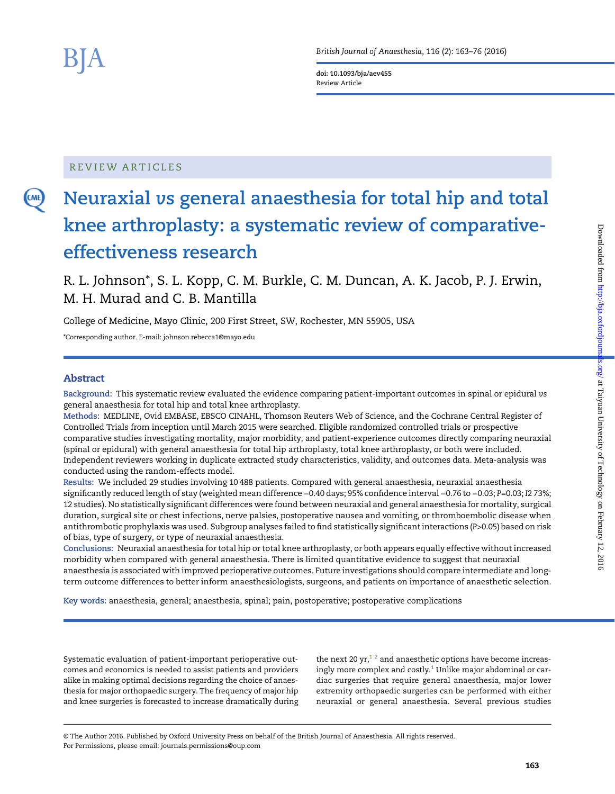**CME** 

doi: 10.1093/bja/aev455 Review Article

## REVIEW ARTICLES

# Neuraxial vs general anaesthesia for total hip and total knee arthroplasty: a systematic review of comparativeeffectiveness research

R. L. Johnson\*, S. L. Kopp, C. M. Burkle, C. M. Duncan, A. K. Jacob, P. J. Erwin, M. H. Murad and C. B. Mantilla

College of Medicine, Mayo Clinic, 200 First Street, SW, Rochester, MN 55905, USA

\*Corresponding author. E-mail: johnson.rebecca1@mayo.edu

## Abstract

Background: This systematic review evaluated the evidence comparing patient-important outcomes in spinal or epidural vs general anaesthesia for total hip and total knee arthroplasty.

Methods: MEDLINE, Ovid EMBASE, EBSCO CINAHL, Thomson Reuters Web of Science, and the Cochrane Central Register of Controlled Trials from inception until March 2015 were searched. Eligible randomized controlled trials or prospective comparative studies investigating mortality, major morbidity, and patient-experience outcomes directly comparing neuraxial (spinal or epidural) with general anaesthesia for total hip arthroplasty, total knee arthroplasty, or both were included. Independent reviewers working in duplicate extracted study characteristics, validity, and outcomes data. Meta-analysis was conducted using the random-effects model.

Results: We included 29 studies involving 10 488 patients. Compared with general anaesthesia, neuraxial anaesthesia significantly reduced length of stay (weighted mean difference −0.40 days; 95% confidence interval −0.76 to −0.03; P=0.03; I2 73%; 12 studies). No statistically significant differences were found between neuraxial and general anaesthesia for mortality, surgical duration, surgical site or chest infections, nerve palsies, postoperative nausea and vomiting, or thromboembolic disease when antithrombotic prophylaxis was used. Subgroup analyses failed to find statistically significant interactions (P>0.05) based on risk of bias, type of surgery, or type of neuraxial anaesthesia.

Conclusions: Neuraxial anaesthesia for total hip or total knee arthroplasty, or both appears equally effective without increased morbidity when compared with general anaesthesia. There is limited quantitative evidence to suggest that neuraxial anaesthesia is associated with improved perioperative outcomes. Future investigations should compare intermediate and longterm outcome differences to better inform anaesthesiologists, surgeons, and patients on importance of anaesthetic selection.

Key words: anaesthesia, general; anaesthesia, spinal; pain, postoperative; postoperative complications

Systematic evaluation of patient-important perioperative outcomes and economics is needed to assist patients and providers alike in making optimal decisions regarding the choice of anaesthesia for major orthopaedic surgery. The frequency of major hip and knee surgeries is forecasted to increase dramatically during

the next 20 yr,<sup>12</sup> and anaesthetic options have become increasingly more complex and costly. $1$  Unlike major abdominal or cardiac surgeries that require general anaesthesia, major lower extremity orthopaedic surgeries can be performed with either neuraxial or general anaesthesia. Several previous studies

© The Author 2016. Published by Oxford University Press on behalf of the British Journal of Anaesthesia. All rights reserved. For Permissions, please email: journals.permissions@oup.com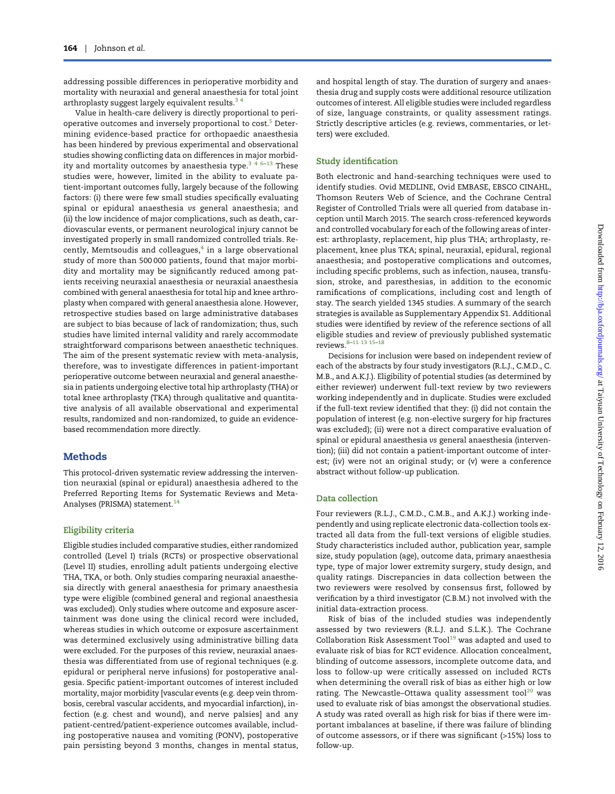addressing possible differences in perioperative morbidity and mortality with neuraxial and general anaesthesia for total joint arthroplasty suggest largely equivalent results.<sup>34</sup>

Value in health-care delivery is directly proportional to peri-operative outcomes and inversely proportional to cost.<sup>[5](#page-9-0)</sup> Determining evidence-based practice for orthopaedic anaesthesia has been hindered by previous experimental and observational studies showing conflicting data on differences in major morbid-ity and mortality outcomes by anaesthesia type.<sup>[346](#page-9-0)-[13](#page-10-0)</sup> These studies were, however, limited in the ability to evaluate patient-important outcomes fully, largely because of the following factors: (i) there were few small studies specifically evaluating spinal or epidural anaesthesia vs general anaesthesia; and (ii) the low incidence of major complications, such as death, cardiovascular events, or permanent neurological injury cannot be investigated properly in small randomized controlled trials. Recently, Memtsoudis and colleagues, $4$  in a large observational study of more than 500 000 patients, found that major morbidity and mortality may be significantly reduced among patients receiving neuraxial anaesthesia or neuraxial anaesthesia combined with general anaesthesia for total hip and knee arthroplasty when compared with general anaesthesia alone. However, retrospective studies based on large administrative databases are subject to bias because of lack of randomization; thus, such studies have limited internal validity and rarely accommodate straightforward comparisons between anaesthetic techniques. The aim of the present systematic review with meta-analysis, therefore, was to investigate differences in patient-important perioperative outcome between neuraxial and general anaesthesia in patients undergoing elective total hip arthroplasty (THA) or total knee arthroplasty (TKA) through qualitative and quantitative analysis of all available observational and experimental results, randomized and non-randomized, to guide an evidencebased recommendation more directly.

#### Methods

This protocol-driven systematic review addressing the intervention neuraxial (spinal or epidural) anaesthesia adhered to the Preferred Reporting Items for Systematic Reviews and Meta-Analyses (PRISMA) statement.<sup>[14](#page-10-0)</sup>

#### Eligibility criteria

Eligible studies included comparative studies, either randomized controlled (Level I) trials (RCTs) or prospective observational (Level II) studies, enrolling adult patients undergoing elective THA, TKA, or both. Only studies comparing neuraxial anaesthesia directly with general anaesthesia for primary anaesthesia type were eligible (combined general and regional anaesthesia was excluded). Only studies where outcome and exposure ascertainment was done using the clinical record were included, whereas studies in which outcome or exposure ascertainment was determined exclusively using administrative billing data were excluded. For the purposes of this review, neuraxial anaesthesia was differentiated from use of regional techniques (e.g. epidural or peripheral nerve infusions) for postoperative analgesia. Specific patient-important outcomes of interest included mortality, major morbidity [vascular events (e.g. deep vein thrombosis, cerebral vascular accidents, and myocardial infarction), infection (e.g. chest and wound), and nerve palsies] and any patient-centred/patient-experience outcomes available, including postoperative nausea and vomiting (PONV), postoperative pain persisting beyond 3 months, changes in mental status,

and hospital length of stay. The duration of surgery and anaesthesia drug and supply costs were additional resource utilization outcomes of interest. All eligible studies were included regardless of size, language constraints, or quality assessment ratings. Strictly descriptive articles (e.g. reviews, commentaries, or letters) were excluded.

#### Study identification

Both electronic and hand-searching techniques were used to identify studies. Ovid MEDLINE, Ovid EMBASE, EBSCO CINAHL, Thomson Reuters Web of Science, and the Cochrane Central Register of Controlled Trials were all queried from database inception until March 2015. The search cross-referenced keywords and controlled vocabulary for each of the following areas of interest: arthroplasty, replacement, hip plus THA; arthroplasty, replacement, knee plus TKA; spinal, neuraxial, epidural, regional anaesthesia; and postoperative complications and outcomes, including specific problems, such as infection, nausea, transfusion, stroke, and paresthesias, in addition to the economic ramifications of complications, including cost and length of stay. The search yielded 1345 studies. A summary of the search strategies is available as [Supplementary](http://bja.oxfordjournals.org/lookup/suppl/doi:10.1093/bja/aev455/-/DC1) Appendix S1. Additional studies were identified by review of the reference sections of all eligible studies and review of previously published systematic reviews[.8](#page-9-0)–[11 13 15](#page-10-0)–[18](#page-10-0)

Decisions for inclusion were based on independent review of each of the abstracts by four study investigators (R.L.J., C.M.D., C. M.B., and A.K.J.). Eligibility of potential studies (as determined by either reviewer) underwent full-text review by two reviewers working independently and in duplicate. Studies were excluded if the full-text review identified that they: (i) did not contain the population of interest (e.g. non-elective surgery for hip fractures was excluded); (ii) were not a direct comparative evaluation of spinal or epidural anaesthesia vs general anaesthesia (intervention); (iii) did not contain a patient-important outcome of interest; (iv) were not an original study; or (v) were a conference abstract without follow-up publication.

#### Data collection

Four reviewers (R.L.J., C.M.D., C.M.B., and A.K.J.) working independently and using replicate electronic data-collection tools extracted all data from the full-text versions of eligible studies. Study characteristics included author, publication year, sample size, study population (age), outcome data, primary anaesthesia type, type of major lower extremity surgery, study design, and quality ratings. Discrepancies in data collection between the two reviewers were resolved by consensus first, followed by verification by a third investigator (C.B.M.) not involved with the initial data-extraction process.

Risk of bias of the included studies was independently assessed by two reviewers (R.L.J. and S.L.K.). The Cochrane Collaboration Risk Assessment Tool $19$  was adapted and used to evaluate risk of bias for RCT evidence. Allocation concealment, blinding of outcome assessors, incomplete outcome data, and loss to follow-up were critically assessed on included RCTs when determining the overall risk of bias as either high or low rating. The Newcastle–Ottawa quality assessment tool $^{20}$  $^{20}$  $^{20}$  was used to evaluate risk of bias amongst the observational studies. A study was rated overall as high risk for bias if there were important imbalances at baseline, if there was failure of blinding of outcome assessors, or if there was significant (>15%) loss to follow-up.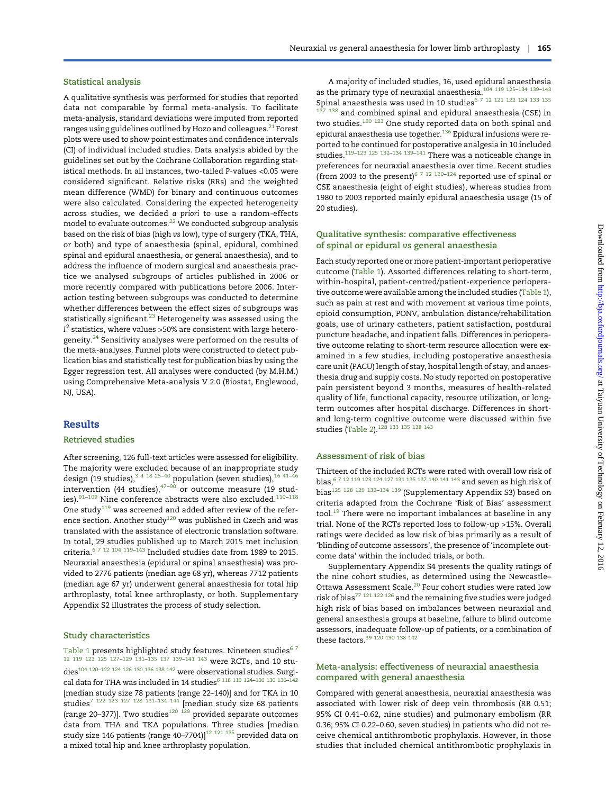#### Statistical analysis

A qualitative synthesis was performed for studies that reported data not comparable by formal meta-analysis. To facilitate meta-analysis, standard deviations were imputed from reported ranges using guidelines outlined by Hozo and colleagues.<sup>[21](#page-10-0)</sup> Forest plots were used to show point estimates and confidence intervals (CI) of individual included studies. Data analysis abided by the guidelines set out by the Cochrane Collaboration regarding statistical methods. In all instances, two-tailed P-values <0.05 were considered significant. Relative risks (RRs) and the weighted mean difference (WMD) for binary and continuous outcomes were also calculated. Considering the expected heterogeneity across studies, we decided a priori to use a random-effects model to evaluate outcomes.<sup>[22](#page-10-0)</sup> We conducted subgroup analysis based on the risk of bias (high vs low), type of surgery (TKA, THA, or both) and type of anaesthesia (spinal, epidural, combined spinal and epidural anaesthesia, or general anaesthesia), and to address the influence of modern surgical and anaesthesia practice we analysed subgroups of articles published in 2006 or more recently compared with publications before 2006. Interaction testing between subgroups was conducted to determine whether differences between the effect sizes of subgroups was statistically significant. $^{23}$  $^{23}$  $^{23}$  Heterogeneity was assessed using the  $I^2$  statistics, where values >50% are consistent with large heterogeneity.<sup>24</sup> Sensitivity analyses were performed on the results of the meta-analyses. Funnel plots were constructed to detect publication bias and statistically test for publication bias by using the Egger regression test. All analyses were conducted (by M.H.M.) using Comprehensive Meta-analysis V 2.0 (Biostat, Englewood, NJ, USA).

### **Results**

#### Retrieved studies

After screening, 126 full-text articles were assessed for eligibility. The majority were excluded because of an inappropriate study design (19 studies),  $3^{4}$  [18 25](#page-10-0)-[40](#page-10-0) population (seven studies),  $16^{41-46}$  $16^{41-46}$  $16^{41-46}$ intervention (44 studies), $47-90$  $47-90$  $47-90$  or outcome measure (19 studies). $91-109$  $91-109$  $91-109$  Nine conference abstracts were also excluded. $110-118$  $110-118$  $110-118$ One study<sup>[119](#page-13-0)</sup> was screened and added after review of the refer-ence section. Another study<sup>[120](#page-13-0)</sup> was published in Czech and was translated with the assistance of electronic translation software. In total, 29 studies published up to March 2015 met inclusion criteria. $^{\rm 6}$  <sup>7</sup> <sup>12</sup>  $^{\rm 104}$  $^{\rm 104}$  $^{\rm 104}$  <sup>119–[143](#page-13-0)</sup> Included studies date from 1989 to 2015. Neuraxial anaesthesia (epidural or spinal anaesthesia) was provided to 2776 patients (median age 68 yr), whereas 7712 patients (median age 67 yr) underwent general anaesthesia for total hip arthroplasty, total knee arthroplasty, or both. [Supplementary](http://bja.oxfordjournals.org/lookup/suppl/doi:10.1093/bja/aev455/-/DC1) [Appendix S2](http://bja.oxfordjournals.org/lookup/suppl/doi:10.1093/bja/aev455/-/DC1) illustrates the process of study selection.

#### Study characteristics

[Table 1](#page-3-0) presents highlighted study features. Nineteen studies<sup>67</sup> [12](#page-10-0) [119 123 125 127](#page-13-0)–[129 131](#page-13-0)–[135 137 139](#page-13-0)–[141 143](#page-13-0) were RCTs, and 10 stu-dies<sup>[104](#page-12-0) [120](#page-13-0)-[122 124 126 130 136 138 142](#page-13-0)</sup> were observational studies. Surgi-cal data for THA was included in 14 studies<sup>6 [118 119 124](#page-13-0)-[126 130 136](#page-13-0)-[142](#page-13-0)</sup> [median study size 78 patients (range 22–140)] and for TKA in 10 studies<sup>[7](#page-9-0) [122 123 127 128 131](#page-13-0)-[134 144](#page-13-0)</sup> [median study size 68 patients (range 20–377)]. Two studies<sup>[120 129](#page-13-0)</sup> provided separate outcomes data from THA and TKA populations. Three studies [median study size 146 patients (range 40–7704)] $^{12}$   $^{121}$   $^{135}$  provided data on a mixed total hip and knee arthroplasty population.

A majority of included studies, 16, used epidural anaesthesia as the primary type of neuraxial anaesthesia.[104](#page-12-0) [119 125](#page-13-0)–[134 139](#page-13-0)–[143](#page-13-0) Spinal anaesthesia was used in 10 studies  $^{\rm 6$  7 <sup>12 [12](#page-10-0)1 122 124 133 135</sup>  $137$   $138$  and combined spinal and epidural anaesthesia (CSE) in two studies.<sup>[120 123](#page-13-0)</sup> One study reported data on both spinal and epidural anaesthesia use together.<sup>[136](#page-13-0)</sup> Epidural infusions were reported to be continued for postoperative analgesia in 10 included studies.<sup>[119](#page-13-0)–123</sup> <sup>125</sup> <sup>132–134</sup> <sup>139–[141](#page-13-0)</sup> There was a noticeable change in preferences for neuraxial anaesthesia over time. Recent studies (from 2003 to the present)<sup>[6 7](#page-9-0) [12](#page-10-0) [120](#page-13-0)–[124](#page-13-0)</sup> reported use of spinal or CSE anaesthesia (eight of eight studies), whereas studies from 1980 to 2003 reported mainly epidural anaesthesia usage (15 of 20 studies).

#### Qualitative synthesis: comparative effectiveness of spinal or epidural vs general anaesthesia

Each study reported one or more patient-important perioperative outcome ([Table 1\)](#page-3-0). Assorted differences relating to short-term, within-hospital, patient-centred/patient-experience perioperative outcome were available among the included studies [\(Table 1\)](#page-3-0), such as pain at rest and with movement at various time points, opioid consumption, PONV, ambulation distance/rehabilitation goals, use of urinary catheters, patient satisfaction, postdural puncture headache, and inpatient falls. Differences in perioperative outcome relating to short-term resource allocation were examined in a few studies, including postoperative anaesthesia care unit (PACU) length of stay, hospital length of stay, and anaesthesia drug and supply costs. No study reported on postoperative pain persistent beyond 3 months, measures of health-related quality of life, functional capacity, resource utilization, or longterm outcomes after hospital discharge. Differences in shortand long-term cognitive outcome were discussed within five studies ([Table 2](#page-5-0)).<sup>128</sup> <sup>133</sup> <sup>135</sup> <sup>138</sup> <sup>143</sup>

#### Assessment of risk of bias

Thirteen of the included RCTs were rated with overall low risk of bias,[6 7](#page-9-0) [12](#page-10-0) [119 123 124 127 131 135 137 140 141 143](#page-13-0) and seven as high risk of bias[125 128 129 132](#page-13-0)–[134 139](#page-13-0) [\(Supplementary Appendix S3\)](http://bja.oxfordjournals.org/lookup/suppl/doi:10.1093/bja/aev455/-/DC1) based on criteria adapted from the Cochrane 'Risk of Bias' assessment tool.<sup>[19](#page-10-0)</sup> There were no important imbalances at baseline in any trial. None of the RCTs reported loss to follow-up >15%. Overall ratings were decided as low risk of bias primarily as a result of 'blinding of outcome assessors', the presence of 'incomplete outcome data' within the included trials, or both.

[Supplementary Appendix S4](http://bja.oxfordjournals.org/lookup/suppl/doi:10.1093/bja/aev455/-/DC1) presents the quality ratings of the nine cohort studies, as determined using the Newcastle– Ottawa Assessment Scale.<sup>[20](#page-10-0)</sup> Four cohort studies were rated low risk of bias<sup>[77](#page-11-0) [121 122 126](#page-13-0)</sup> and the remaining five studies were judged high risk of bias based on imbalances between neuraxial and general anaesthesia groups at baseline, failure to blind outcome assessors, inadequate follow-up of patients, or a combination of these factors.[39](#page-10-0) [120 130 138 142](#page-13-0)

#### Meta-analysis: effectiveness of neuraxial anaesthesia compared with general anaesthesia

Compared with general anaesthesia, neuraxial anaesthesia was associated with lower risk of deep vein thrombosis (RR 0.51; 95% CI 0.41–0.62, nine studies) and pulmonary embolism (RR 0.36; 95% CI 0.22–0.60, seven studies) in patients who did not receive chemical antithrombotic prophylaxis. However, in those studies that included chemical antithrombotic prophylaxis in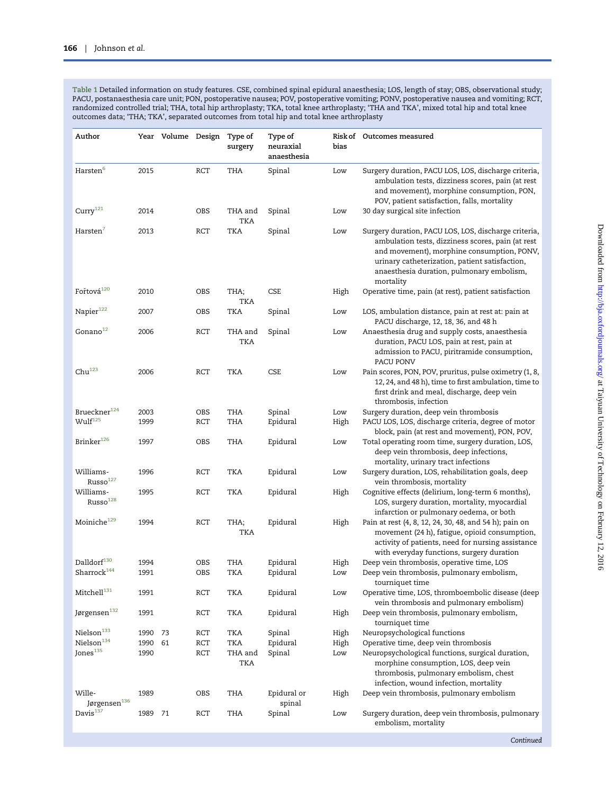<span id="page-3-0"></span>Table 1 Detailed information on study features. CSE, combined spinal epidural anaesthesia; LOS, length of stay; OBS, observational study; PACU, postanaesthesia care unit; PON, postoperative nausea; POV, postoperative vomiting; PONV, postoperative nausea and vomiting; RCT, randomized controlled trial; THA, total hip arthroplasty; TKA, total knee arthroplasty; 'THA and TKA', mixed total hip and total knee outcomes data; 'THA; TKA', separated outcomes from total hip and total knee arthroplasty

| Author                            |      | Year Volume Design |            | Type of<br>surgery    | Type of<br>neuraxial<br>anaesthesia | bias | Risk of Outcomes measured                                                                                                                                                                                                                                           |
|-----------------------------------|------|--------------------|------------|-----------------------|-------------------------------------|------|---------------------------------------------------------------------------------------------------------------------------------------------------------------------------------------------------------------------------------------------------------------------|
| Harsten $^6$                      | 2015 |                    | RCT        | THA                   | Spinal                              | Low  | Surgery duration, PACU LOS, LOS, discharge criteria,<br>ambulation tests, dizziness scores, pain (at rest<br>and movement), morphine consumption, PON,<br>POV, patient satisfaction, falls, mortality                                                               |
| Curry <sup>121</sup>              | 2014 |                    | OBS        | THA and<br>TKA        | Spinal                              | Low  | 30 day surgical site infection                                                                                                                                                                                                                                      |
| Harsten <sup>7</sup>              | 2013 |                    | RCT        | <b>TKA</b>            | Spinal                              | Low  | Surgery duration, PACU LOS, LOS, discharge criteria,<br>ambulation tests, dizziness scores, pain (at rest<br>and movement), morphine consumption, PONV,<br>urinary catheterization, patient satisfaction,<br>anaesthesia duration, pulmonary embolism,<br>mortality |
| Fořtová <sup>120</sup>            | 2010 |                    | OBS        | THA;<br>TKA           | CSE                                 | High | Operative time, pain (at rest), patient satisfaction                                                                                                                                                                                                                |
| Napier <sup>122</sup>             | 2007 |                    | OBS        | <b>TKA</b>            | Spinal                              | Low  | LOS, ambulation distance, pain at rest at: pain at<br>PACU discharge, 12, 18, 36, and 48 h                                                                                                                                                                          |
| Gonano <sup>12</sup>              | 2006 |                    | RCT        | THA and<br><b>TKA</b> | Spinal                              | Low  | Anaesthesia drug and supply costs, anaesthesia<br>duration, PACU LOS, pain at rest, pain at<br>admission to PACU, piritramide consumption,<br>PACU PONV                                                                                                             |
| $Chu^{123}$                       | 2006 |                    | <b>RCT</b> | <b>TKA</b>            | <b>CSE</b>                          | Low  | Pain scores, PON, POV, pruritus, pulse oximetry (1, 8,<br>12, 24, and 48 h), time to first ambulation, time to<br>first drink and meal, discharge, deep vein<br>thrombosis, infection                                                                               |
| Brueckner $124$                   | 2003 |                    | OBS        | THA                   | Spinal                              | Low  | Surgery duration, deep vein thrombosis                                                                                                                                                                                                                              |
| $\text{Wulf}^{125}$               | 1999 |                    | RCT        | THA                   | Epidural                            | High | PACU LOS, LOS, discharge criteria, degree of motor<br>block, pain (at rest and movement), PON, POV,                                                                                                                                                                 |
| Brinker <sup>126</sup>            | 1997 |                    | OBS        | THA                   | Epidural                            | Low  | Total operating room time, surgery duration, LOS,<br>deep vein thrombosis, deep infections,<br>mortality, urinary tract infections                                                                                                                                  |
| Williams-<br>Russo <sup>127</sup> | 1996 |                    | RCT        | TKA                   | Epidural                            | Low  | Surgery duration, LOS, rehabilitation goals, deep<br>vein thrombosis, mortality                                                                                                                                                                                     |
| Williams-<br>Russo <sup>128</sup> | 1995 |                    | RCT        | <b>TKA</b>            | Epidural                            | High | Cognitive effects (delirium, long-term 6 months),<br>LOS, surgery duration, mortality, myocardial<br>infarction or pulmonary oedema, or both                                                                                                                        |
| Moiniche <sup>129</sup>           | 1994 |                    | RCT        | THA;<br>TKA           | Epidural                            | High | Pain at rest (4, 8, 12, 24, 30, 48, and 54 h); pain on<br>movement (24 h), fatigue, opioid consumption,<br>activity of patients, need for nursing assistance<br>with everyday functions, surgery duration                                                           |
| $\text{Dalldor} \mathbf{f}^{130}$ | 1994 |                    | OBS        | THA                   | Epidural                            | High | Deep vein thrombosis, operative time, LOS                                                                                                                                                                                                                           |
| $Sharrock^{144}$                  | 1991 |                    | OBS        | TKA                   | Epidural                            | Low  | Deep vein thrombosis, pulmonary embolism,<br>tourniquet time                                                                                                                                                                                                        |
| Mitchell <sup>131</sup>           | 1991 |                    | RCT        | TKA                   | Epidural                            | Low  | Operative time, LOS, thromboembolic disease (deep<br>vein thrombosis and pulmonary embolism)                                                                                                                                                                        |
| Jørgensen <sup>132</sup>          | 1991 |                    | RCT        | <b>TKA</b>            | Epidural                            | High | Deep vein thrombosis, pulmonary embolism,<br>tourniquet time                                                                                                                                                                                                        |
| $\mathrm{Nielson}^{133}$          | 1990 | 73                 | RCT        | TKA                   | Spinal                              | High | Neuropsychological functions                                                                                                                                                                                                                                        |
| Nielson <sup>134</sup>            | 1990 | 61                 | RCT        | TKA                   | Epidural                            | High | Operative time, deep vein thrombosis                                                                                                                                                                                                                                |
| Jones <sup>135</sup>              | 1990 |                    | RCT        | THA and<br>TKA        | Spinal                              | Low  | Neuropsychological functions, surgical duration,<br>morphine consumption, LOS, deep vein<br>thrombosis, pulmonary embolism, chest<br>infection, wound infection, mortality                                                                                          |
| Wille-<br>Jørgensen $^{\rm 136}$  | 1989 |                    | OBS        | THA                   | Epidural or<br>spinal               | High | Deep vein thrombosis, pulmonary embolism                                                                                                                                                                                                                            |
| Davis <sup>137</sup>              | 1989 | 71                 | RCT        | THA                   | Spinal                              | Low  | Surgery duration, deep vein thrombosis, pulmonary<br>embolism, mortality                                                                                                                                                                                            |

Continued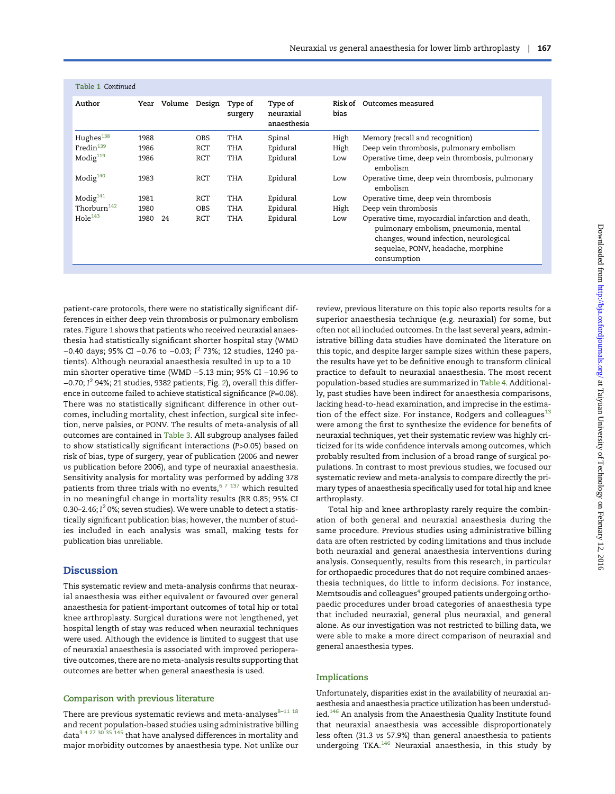| Table 1 Continued |    |            |                    |                                     |                 |                                                                                                                                                                                          |
|-------------------|----|------------|--------------------|-------------------------------------|-----------------|------------------------------------------------------------------------------------------------------------------------------------------------------------------------------------------|
| Year              |    | Design     | Type of<br>surgery | Type of<br>neuraxial<br>anaesthesia | Risk of<br>bias | Outcomes measured                                                                                                                                                                        |
| 1988              |    | <b>OBS</b> | THA                | Spinal                              | High            | Memory (recall and recognition)                                                                                                                                                          |
| 1986              |    | RCT        | THA                | Epidural                            | High            | Deep vein thrombosis, pulmonary embolism                                                                                                                                                 |
| 1986              |    | RCT        | THA                | Epidural                            | Low             | Operative time, deep vein thrombosis, pulmonary<br>embolism                                                                                                                              |
| 1983              |    | <b>RCT</b> | THA                | Epidural                            | Low             | Operative time, deep vein thrombosis, pulmonary<br>embolism                                                                                                                              |
| 1981              |    | RCT        | THA                | Epidural                            | Low             | Operative time, deep vein thrombosis                                                                                                                                                     |
| 1980              |    | <b>OBS</b> | THA                | Epidural                            | High            | Deep vein thrombosis                                                                                                                                                                     |
| 1980              | 24 | <b>RCT</b> | <b>THA</b>         | Epidural                            | Low             | Operative time, myocardial infarction and death,<br>pulmonary embolism, pneumonia, mental<br>changes, wound infection, neurological<br>sequelae, PONV, headache, morphine<br>consumption |
|                   |    |            | Volume             |                                     |                 |                                                                                                                                                                                          |

patient-care protocols, there were no statistically significant differences in either deep vein thrombosis or pulmonary embolism rates. Figure [1](#page-6-0) shows that patients who received neuraxial anaesthesia had statistically significant shorter hospital stay (WMD −0.40 days; 95% CI −0.76 to −0.03; I <sup>2</sup> 73%; 12 studies, 1240 patients). Although neuraxial anaesthesia resulted in up to a 10 min shorter operative time (WMD −5.13 min; 95% CI −10.96 to −0.70; I <sup>2</sup> 94%; 21 studies, 9382 patients; Fig. [2](#page-7-0)), overall this difference in outcome failed to achieve statistical significance (P=0.08). There was no statistically significant difference in other outcomes, including mortality, chest infection, surgical site infection, nerve palsies, or PONV. The results of meta-analysis of all outcomes are contained in [Table 3.](#page-7-0) All subgroup analyses failed to show statistically significant interactions (P>0.05) based on risk of bias, type of surgery, year of publication (2006 and newer vs publication before 2006), and type of neuraxial anaesthesia. Sensitivity analysis for mortality was performed by adding 378 patients from three trials with no events, $67 137$  $67 137$  which resulted in no meaningful change in mortality results (RR 0.85; 95% CI 0.30–2.46; I $^2$  0%; seven studies). We were unable to detect a statistically significant publication bias; however, the number of studies included in each analysis was small, making tests for publication bias unreliable.

#### **Discussion**

This systematic review and meta-analysis confirms that neuraxial anaesthesia was either equivalent or favoured over general anaesthesia for patient-important outcomes of total hip or total knee arthroplasty. Surgical durations were not lengthened, yet hospital length of stay was reduced when neuraxial techniques were used. Although the evidence is limited to suggest that use of neuraxial anaesthesia is associated with improved perioperative outcomes, there are no meta-analysis results supporting that outcomes are better when general anaesthesia is used.

#### Comparison with previous literature

There are previous systematic reviews and meta-analyses  $^{8-11\ 18}$  $^{8-11\ 18}$  $^{8-11\ 18}$ and recent population-based studies using administrative billing data $^{\rm 3~4~27~30~35~145}$  that have analysed differences in mortality and major morbidity outcomes by anaesthesia type. Not unlike our review, previous literature on this topic also reports results for a superior anaesthesia technique (e.g. neuraxial) for some, but often not all included outcomes. In the last several years, administrative billing data studies have dominated the literature on this topic, and despite larger sample sizes within these papers, the results have yet to be definitive enough to transform clinical practice to default to neuraxial anaesthesia. The most recent population-based studies are summarized in [Table 4.](#page-8-0) Additionally, past studies have been indirect for anaesthesia comparisons, lacking head-to-head examination, and imprecise in the estimation of the effect size. For instance, Rodgers and colleagues $^{13}$  $^{13}$  $^{13}$ were among the first to synthesize the evidence for benefits of neuraxial techniques, yet their systematic review was highly criticized for its wide confidence intervals among outcomes, which probably resulted from inclusion of a broad range of surgical populations. In contrast to most previous studies, we focused our systematic review and meta-analysis to compare directly the primary types of anaesthesia specifically used for total hip and knee arthroplasty.

Total hip and knee arthroplasty rarely require the combination of both general and neuraxial anaesthesia during the same procedure. Previous studies using administrative billing data are often restricted by coding limitations and thus include both neuraxial and general anaesthesia interventions during analysis. Consequently, results from this research, in particular for orthopaedic procedures that do not require combined anaesthesia techniques, do little to inform decisions. For instance, Memtsoudis and colleagues $4$  grouped patients undergoing orthopaedic procedures under broad categories of anaesthesia type that included neuraxial, general plus neuraxial, and general alone. As our investigation was not restricted to billing data, we were able to make a more direct comparison of neuraxial and general anaesthesia types.

#### Implications

Unfortunately, disparities exist in the availability of neuraxial anaesthesia and anaesthesia practice utilization has been understudied.<sup>146</sup> An analysis from the Anaesthesia Quality Institute found that neuraxial anaesthesia was accessible disproportionately less often (31.3 vs 57.9%) than general anaesthesia to patients undergoing TKA.[146](#page-13-0) Neuraxial anaesthesia, in this study by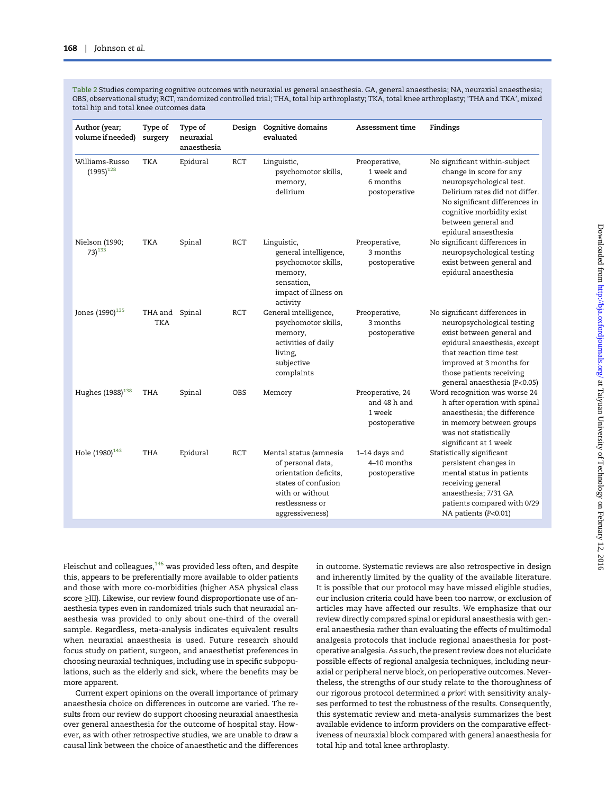<span id="page-5-0"></span>Table 2 Studies comparing cognitive outcomes with neuraxial vs general anaesthesia. GA, general anaesthesia; NA, neuraxial anaesthesia; OBS, observational study; RCT, randomized controlled trial; THA, total hip arthroplasty; TKA, total knee arthroplasty; 'THA and TKA', mixed total hip and total knee outcomes data

| Author (year;<br>volume if needed) | Type of<br>surgery    | Type of<br>neuraxial<br>anaesthesia | Design     | Cognitive domains<br>evaluated                                                                                                                       | Assessment time                                             | Findings                                                                                                                                                                                                                                    |
|------------------------------------|-----------------------|-------------------------------------|------------|------------------------------------------------------------------------------------------------------------------------------------------------------|-------------------------------------------------------------|---------------------------------------------------------------------------------------------------------------------------------------------------------------------------------------------------------------------------------------------|
| Williams-Russo<br>$(1995)^{128}$   | <b>TKA</b>            | Epidural                            | <b>RCT</b> | Linguistic,<br>psychomotor skills,<br>memory,<br>delirium                                                                                            | Preoperative,<br>1 week and<br>6 months<br>postoperative    | No significant within-subject<br>change in score for any<br>neuropsychological test.<br>Delirium rates did not differ.<br>No significant differences in<br>cognitive morbidity exist<br>between general and<br>epidural anaesthesia         |
| Nielson (1990;<br>$73)^{133}$      | <b>TKA</b>            | Spinal                              | RCT        | Linguistic,<br>general intelligence,<br>psychomotor skills,<br>memory,<br>sensation,<br>impact of illness on<br>activity                             | Preoperative,<br>3 months<br>postoperative                  | No significant differences in<br>neuropsychological testing<br>exist between general and<br>epidural anaesthesia                                                                                                                            |
| Jones (1990) <sup>135</sup>        | THA and Spinal<br>TKA |                                     | <b>RCT</b> | General intelligence,<br>psychomotor skills,<br>memory,<br>activities of daily<br>living,<br>subjective<br>complaints                                | Preoperative,<br>3 months<br>postoperative                  | No significant differences in<br>neuropsychological testing<br>exist between general and<br>epidural anaesthesia, except<br>that reaction time test<br>improved at 3 months for<br>those patients receiving<br>general anaesthesia (P<0.05) |
| Hughes (1988) <sup>138</sup>       | THA                   | Spinal                              | <b>OBS</b> | Memory                                                                                                                                               | Preoperative, 24<br>and 48 h and<br>1 week<br>postoperative | Word recognition was worse 24<br>h after operation with spinal<br>anaesthesia; the difference<br>in memory between groups<br>was not statistically<br>significant at 1 week                                                                 |
| Hole (1980) <sup>143</sup>         | THA                   | Epidural                            | RCT        | Mental status (amnesia<br>of personal data,<br>orientation deficits,<br>states of confusion<br>with or without<br>restlessness or<br>aggressiveness) | 1-14 days and<br>4-10 months<br>postoperative               | Statistically significant<br>persistent changes in<br>mental status in patients<br>receiving general<br>anaesthesia; 7/31 GA<br>patients compared with 0/29<br>NA patients (P<0.01)                                                         |

Downloaded from http://bja.oxfordjournals.org/ at Taiyuan University of Technology on February 12, 2016 Downloaded from <http://bja.oxfordjournals.org/> at Taiyuan University of Technology on February 12, 2016

Fleischut and colleagues, $146$  was provided less often, and despite this, appears to be preferentially more available to older patients and those with more co-morbidities (higher ASA physical class score ≥III). Likewise, our review found disproportionate use of anaesthesia types even in randomized trials such that neuraxial anaesthesia was provided to only about one-third of the overall sample. Regardless, meta-analysis indicates equivalent results when neuraxial anaesthesia is used. Future research should focus study on patient, surgeon, and anaesthetist preferences in choosing neuraxial techniques, including use in specific subpopulations, such as the elderly and sick, where the benefits may be more apparent.

Current expert opinions on the overall importance of primary anaesthesia choice on differences in outcome are varied. The results from our review do support choosing neuraxial anaesthesia over general anaesthesia for the outcome of hospital stay. However, as with other retrospective studies, we are unable to draw a causal link between the choice of anaesthetic and the differences in outcome. Systematic reviews are also retrospective in design and inherently limited by the quality of the available literature. It is possible that our protocol may have missed eligible studies, our inclusion criteria could have been too narrow, or exclusion of articles may have affected our results. We emphasize that our review directly compared spinal or epidural anaesthesia with general anaesthesia rather than evaluating the effects of multimodal analgesia protocols that include regional anaesthesia for postoperative analgesia. As such, the present review does not elucidate possible effects of regional analgesia techniques, including neuraxial or peripheral nerve block, on perioperative outcomes. Nevertheless, the strengths of our study relate to the thoroughness of our rigorous protocol determined a priori with sensitivity analyses performed to test the robustness of the results. Consequently, this systematic review and meta-analysis summarizes the best available evidence to inform providers on the comparative effectiveness of neuraxial block compared with general anaesthesia for total hip and total knee arthroplasty.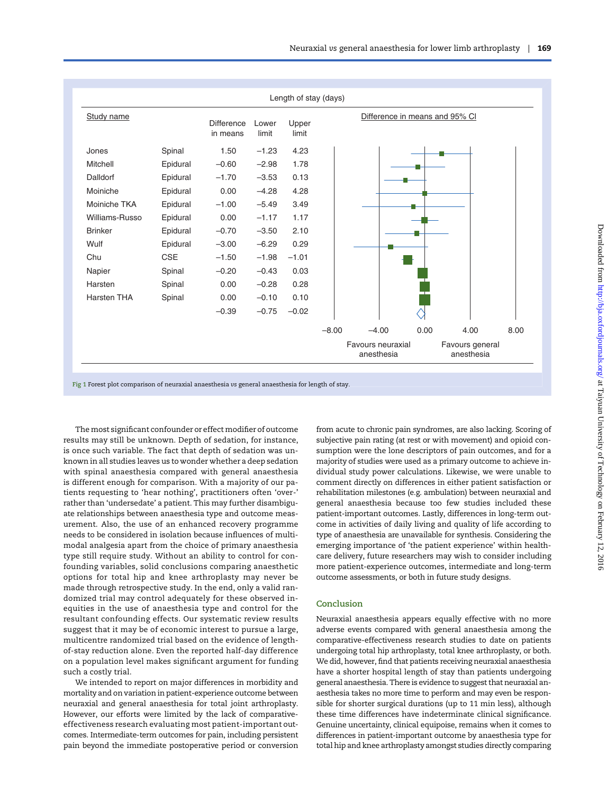<span id="page-6-0"></span>

|                |            |                               |                | Length of stay (days) |         |                                 |      |                               |      |
|----------------|------------|-------------------------------|----------------|-----------------------|---------|---------------------------------|------|-------------------------------|------|
| Study name     |            | <b>Difference</b><br>in means | Lower<br>limit | Upper<br>limit        |         | Difference in means and 95% CI  |      |                               |      |
| Jones          | Spinal     | 1.50                          | $-1.23$        | 4.23                  |         |                                 |      |                               |      |
| Mitchell       | Epidural   | $-0.60$                       | $-2.98$        | 1.78                  |         |                                 |      |                               |      |
| Dalldorf       | Epidural   | $-1.70$                       | $-3.53$        | 0.13                  |         |                                 |      |                               |      |
| Moiniche       | Epidural   | 0.00                          | $-4.28$        | 4.28                  |         |                                 |      |                               |      |
| Moiniche TKA   | Epidural   | $-1.00$                       | $-5.49$        | 3.49                  |         |                                 |      |                               |      |
| Williams-Russo | Epidural   | 0.00                          | $-1.17$        | 1.17                  |         |                                 |      |                               |      |
| <b>Brinker</b> | Epidural   | $-0.70$                       | $-3.50$        | 2.10                  |         |                                 |      |                               |      |
| Wulf           | Epidural   | $-3.00$                       | $-6.29$        | 0.29                  |         |                                 |      |                               |      |
| Chu            | <b>CSE</b> | $-1.50$                       | $-1.98$        | $-1.01$               |         |                                 |      |                               |      |
| Napier         | Spinal     | $-0.20$                       | $-0.43$        | 0.03                  |         |                                 |      |                               |      |
| Harsten        | Spinal     | 0.00                          | $-0.28$        | 0.28                  |         |                                 |      |                               |      |
| Harsten THA    | Spinal     | 0.00                          | $-0.10$        | 0.10                  |         |                                 |      |                               |      |
|                |            | $-0.39$                       | $-0.75$        | $-0.02$               |         |                                 |      |                               |      |
|                |            |                               |                |                       | $-8.00$ | $-4.00$                         | 0.00 | 4.00                          | 8.00 |
|                |            |                               |                |                       |         | Favours neuraxial<br>anesthesia |      | Favours general<br>anesthesia |      |

Fig 1 Forest plot comparison of neuraxial anaesthesia vs general anaesthesia for length of stay.

The most significant confounder or effect modifier of outcome results may still be unknown. Depth of sedation, for instance, is once such variable. The fact that depth of sedation was unknown in all studies leaves us to wonder whether a deep sedation with spinal anaesthesia compared with general anaesthesia is different enough for comparison. With a majority of our patients requesting to 'hear nothing', practitioners often 'over-' rather than 'undersedate' a patient. This may further disambiguate relationships between anaesthesia type and outcome measurement. Also, the use of an enhanced recovery programme needs to be considered in isolation because influences of multimodal analgesia apart from the choice of primary anaesthesia type still require study. Without an ability to control for confounding variables, solid conclusions comparing anaesthetic options for total hip and knee arthroplasty may never be made through retrospective study. In the end, only a valid randomized trial may control adequately for these observed inequities in the use of anaesthesia type and control for the resultant confounding effects. Our systematic review results suggest that it may be of economic interest to pursue a large, multicentre randomized trial based on the evidence of lengthof-stay reduction alone. Even the reported half-day difference on a population level makes significant argument for funding such a costly trial.

We intended to report on major differences in morbidity and mortality and on variation in patient-experience outcome between neuraxial and general anaesthesia for total joint arthroplasty. However, our efforts were limited by the lack of comparativeeffectiveness research evaluating most patient-important outcomes. Intermediate-term outcomes for pain, including persistent pain beyond the immediate postoperative period or conversion from acute to chronic pain syndromes, are also lacking. Scoring of subjective pain rating (at rest or with movement) and opioid consumption were the lone descriptors of pain outcomes, and for a majority of studies were used as a primary outcome to achieve individual study power calculations. Likewise, we were unable to comment directly on differences in either patient satisfaction or rehabilitation milestones (e.g. ambulation) between neuraxial and general anaesthesia because too few studies included these patient-important outcomes. Lastly, differences in long-term outcome in activities of daily living and quality of life according to type of anaesthesia are unavailable for synthesis. Considering the emerging importance of 'the patient experience' within healthcare delivery, future researchers may wish to consider including more patient-experience outcomes, intermediate and long-term outcome assessments, or both in future study designs.

#### Conclusion

Neuraxial anaesthesia appears equally effective with no more adverse events compared with general anaesthesia among the comparative-effectiveness research studies to date on patients undergoing total hip arthroplasty, total knee arthroplasty, or both. We did, however, find that patients receiving neuraxial anaesthesia have a shorter hospital length of stay than patients undergoing general anaesthesia. There is evidence to suggest that neuraxial anaesthesia takes no more time to perform and may even be responsible for shorter surgical durations (up to 11 min less), although these time differences have indeterminate clinical significance. Genuine uncertainty, clinical equipoise, remains when it comes to differences in patient-important outcome by anaesthesia type for total hip and knee arthroplasty amongst studies directly comparing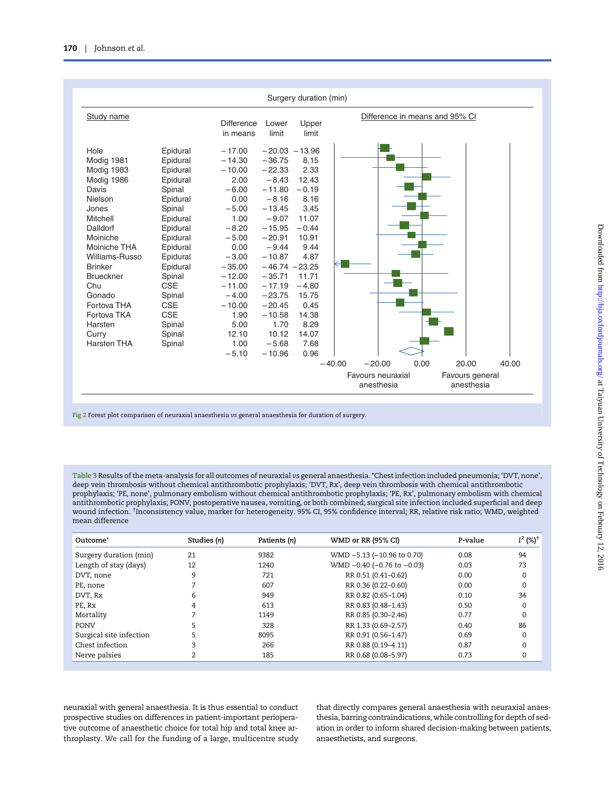<span id="page-7-0"></span>

Fig 2 Forest plot comparison of neuraxial anaesthesia vs general anaesthesia for duration of surgery.

Table 3 Results of the meta-analysis for all outcomes of neuraxial vs general anaesthesia. \*Chest infection included pneumonia; 'DVT, none', deep vein thrombosis without chemical antithrombotic prophylaxis; 'DVT, Rx', deep vein thrombosis with chemical antithrombotic prophylaxis; 'PE, none', pulmonary embolism without chemical antithrombotic prophylaxis; 'PE, Rx', pulmonary embolism with chemical antithrombotic prophylaxis; PONV, postoperative nausea, vomiting, or both combined; surgical site infection included superficial and deep wound infection. † Inconsistency value, marker for heterogeneity. 95% CI, 95% confidence interval; RR, relative risk ratio; WMD, weighted mean difference

| Outcome*                | Studies (n) | Patients (n) | WMD or RR (95% CI)                 | P-value | $I^2$ (%) <sup>+</sup> |
|-------------------------|-------------|--------------|------------------------------------|---------|------------------------|
| Surgery duration (min)  | 21          | 9382         | WMD -5.13 (-10.96 to 0.70)         | 0.08    | 94                     |
| Length of stay (days)   | 12          | 1240         | WMD $-0.40$ ( $-0.76$ to $-0.03$ ) | 0.03    | 73                     |
| DVT, none               | 9           | 721          | RR 0.51 (0.41-0.62)                | 0.00    | 0                      |
| PE, none                |             | 607          | RR 0.36 (0.22-0.60)                | 0.00    | 0                      |
| DVT, Rx                 | 6           | 949          | RR 0.82 (0.65-1.04)                | 0.10    | 34                     |
| PE, Rx                  |             | 613          | RR 0.83 (0.48-1.43)                | 0.50    | 0                      |
| Mortality               |             | 1149         | RR 0.85 (0.30-2.46)                | 0.77    | 0                      |
| <b>PONV</b>             |             | 328          | RR 1.33 (0.69-2.57)                | 0.40    | 86                     |
| Surgical site infection |             | 8095         | RR 0.91 (0.56-1.47)                | 0.69    | 0                      |
| Chest infection         |             | 266          | RR 0.88 (0.19-4.11)                | 0.87    |                        |
| Nerve palsies           |             | 185          | RR 0.68 (0.08-5.97)                | 0.73    |                        |

neuraxial with general anaesthesia. It is thus essential to conduct prospective studies on differences in patient-important perioperative outcome of anaesthetic choice for total hip and total knee arthroplasty. We call for the funding of a large, multicentre study

that directly compares general anaesthesia with neuraxial anaesthesia, barring contraindications, while controlling for depth of sedation in order to inform shared decision-making between patients, anaesthetists, and surgeons.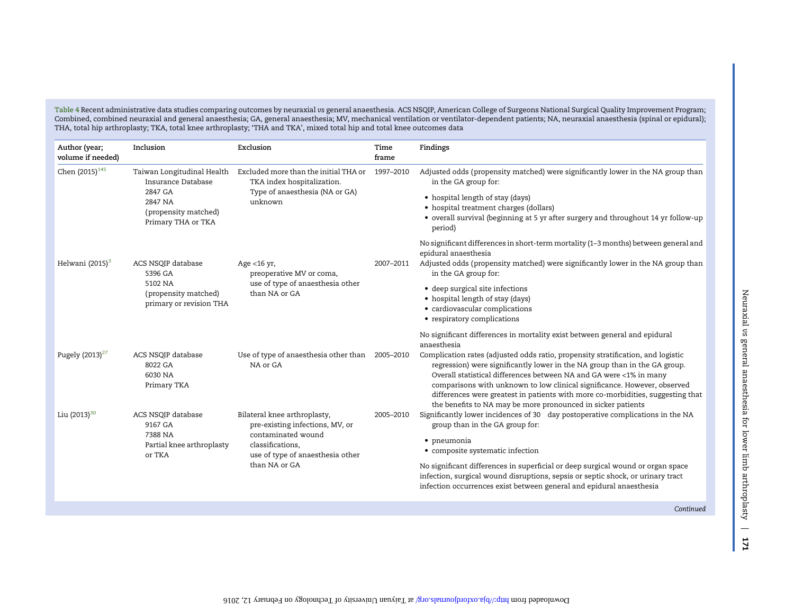<span id="page-8-0"></span>Table 4 Recent administrative data studies comparing outcomes by neuraxial vs general anaesthesia. ACS NSQIP, American College of Surgeons National Surgical Quality Improvement Program; Combined, combined neuraxial and general anaesthesia; GA, general anaesthesia; MV, mechanical ventilation or ventilator-dependent patients; NA, neuraxial anaesthesia (spinal or epidural); THA, total hip arthroplasty; TKA, total knee arthroplasty; 'THA and TKA', mixed total hip and total knee outcomes data

| Author (year;<br>volume if needed) | Inclusion                                                                                                            | Exclusion                                                                                                                                                      | Time<br>frame | Findings                                                                                                                                                                                                                                                                                                                                                                                                                                                                                                                                                         |
|------------------------------------|----------------------------------------------------------------------------------------------------------------------|----------------------------------------------------------------------------------------------------------------------------------------------------------------|---------------|------------------------------------------------------------------------------------------------------------------------------------------------------------------------------------------------------------------------------------------------------------------------------------------------------------------------------------------------------------------------------------------------------------------------------------------------------------------------------------------------------------------------------------------------------------------|
| Chen (2015) <sup>145</sup>         | Taiwan Longitudinal Health<br>Insurance Database<br>2847 GA<br>2847 NA<br>(propensity matched)<br>Primary THA or TKA | Excluded more than the initial THA or<br>TKA index hospitalization.<br>Type of anaesthesia (NA or GA)<br>unknown                                               | 1997-2010     | Adjusted odds (propensity matched) were significantly lower in the NA group than<br>in the GA group for:<br>• hospital length of stay (days)<br>• hospital treatment charges (dollars)<br>• overall survival (beginning at 5 yr after surgery and throughout 14 yr follow-up<br>period)                                                                                                                                                                                                                                                                          |
| Helwani $(2015)^3$                 | ACS NSQIP database<br>5396 GA<br>5102 NA<br>(propensity matched)<br>primary or revision THA                          | Age <16 yr,<br>preoperative MV or coma,<br>use of type of anaesthesia other<br>than NA or GA                                                                   | 2007-2011     | No significant differences in short-term mortality (1-3 months) between general and<br>epidural anaesthesia<br>Adjusted odds (propensity matched) were significantly lower in the NA group than<br>in the GA group for:<br>• deep surgical site infections<br>• hospital length of stay (days)<br>• cardiovascular complications<br>• respiratory complications                                                                                                                                                                                                  |
| Pugely $(2013)^{27}$               | ACS NSQIP database<br>8022 GA<br>6030 NA<br>Primary TKA                                                              | Use of type of anaesthesia other than<br>NA or GA                                                                                                              | 2005-2010     | No significant differences in mortality exist between general and epidural<br>anaesthesia<br>Complication rates (adjusted odds ratio, propensity stratification, and logistic<br>regression) were significantly lower in the NA group than in the GA group.<br>Overall statistical differences between NA and GA were <1% in many<br>comparisons with unknown to low clinical significance. However, observed<br>differences were greatest in patients with more co-morbidities, suggesting that<br>the benefits to NA may be more pronounced in sicker patients |
| Liu (2013) <sup>30</sup>           | ACS NSQIP database<br>9167 GA<br>7388 NA<br>Partial knee arthroplasty<br>or TKA                                      | Bilateral knee arthroplasty,<br>pre-existing infections, MV, or<br>contaminated wound<br>classifications.<br>use of type of anaesthesia other<br>than NA or GA | 2005-2010     | Significantly lower incidences of 30 day postoperative complications in the NA<br>group than in the GA group for:<br>• pneumonia<br>• composite systematic infection<br>No significant differences in superficial or deep surgical wound or organ space<br>infection, surgical wound disruptions, sepsis or septic shock, or urinary tract<br>infection occurrences exist between general and epidural anaesthesia                                                                                                                                               |

Continued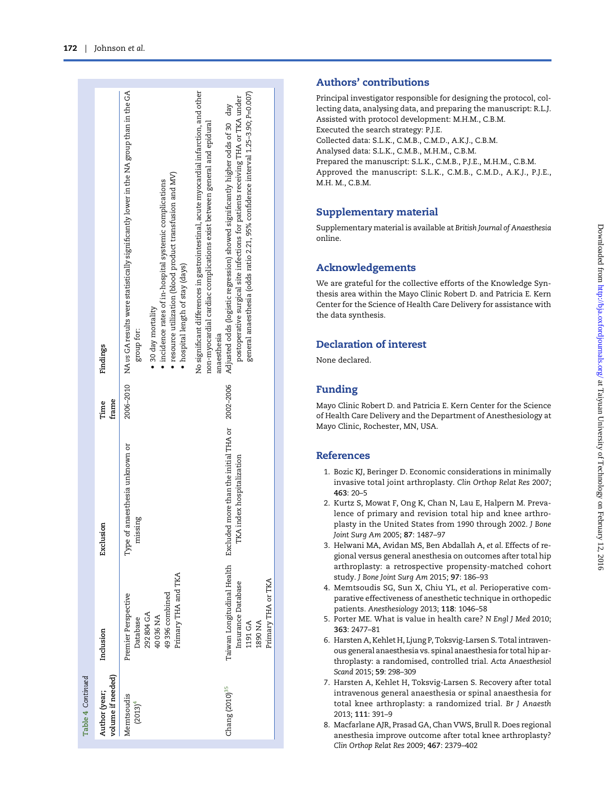<span id="page-9-0"></span>

| Inclusion<br>volume if needed)<br>Author (year;<br>Memtsoudis<br>$(2013)^4$ |                                                                                                              |                                                           |               |                                                                                                                                                                                                                                                                                                                                                                                                                                           |
|-----------------------------------------------------------------------------|--------------------------------------------------------------------------------------------------------------|-----------------------------------------------------------|---------------|-------------------------------------------------------------------------------------------------------------------------------------------------------------------------------------------------------------------------------------------------------------------------------------------------------------------------------------------------------------------------------------------------------------------------------------------|
|                                                                             |                                                                                                              | Exclusion                                                 | frame<br>Time | Findings                                                                                                                                                                                                                                                                                                                                                                                                                                  |
|                                                                             | Primary THA and TKA<br>49396 combined<br>Premier Perspective<br>292 804 GA<br>40036 NA<br>Database           | Type of anaesthesia unknown or<br>missing                 | 2006-2010     | NA vs GA results were statistically significantly lower in the NA group than in the GA<br>resource utilization (blood product transfusion and MV)<br>incidence rates of in-hospital systemic complications<br>• hospital length of stay (days)<br>30 day mortality<br>group for:                                                                                                                                                          |
| $\text{Change} (2010)^{35}$                                                 | Taiwan Longitudinal Health Excluded<br>Primary THA or TKA<br>Insurance Database<br><b>AN 0681</b><br>1191 GA | more than the initial THA or<br>TKA index hospitalization | 2002-2006     | No significant differences in gastrointestinal, acute myocardial infarction, and other<br>general anaesthesia (odds ratio 2.21, 95% confidence interval 1.25-3.90; P=0.007)<br>postoperative surgical site infections for patients receiving THA or TKA under<br>Adjusted odds (logistic regression) showed significantly higher odds of 30 day<br>non-myocardial cardiac complications exist between general and epidural<br>anaesthesia |

## Authors ' contributions

Principal investigator responsible for designing the protocol, collecting data, analysing data, and preparing the manuscript: R.L.J. Assisted with protocol development: M.H.M., C.B.M. Executed the search strategy: P.J.E. Collected data: S.L.K., C.M.B., C.M.D., A.K.J., C.B.M. Analysed data: S.L.K., C.M.B., M.H.M., C.B.M. Prepared the manuscript: S.L.K., C.M.B., P.J.E., M.H.M., C.B.M. Approved the manuscript: S.L.K., C.M.B., C.M.D., A.K.J., P.J.E., M.H. M., C.B.M.

## Supplementary material

[Supplementary material is available at](http://bja.oxfordjournals.org/lookup/suppl/doi:10.1093/bja/aev455/-/DC1) British Journal of Anaesthesia [online.](http://bja.oxfordjournals.org/lookup/suppl/doi:10.1093/bja/aev455/-/DC1)

## Acknowledgements

We are grateful for the collective efforts of the Knowledge Synthesis area within the Mayo Clinic Robert D. and Patricia E. Kern Center for the Science of Health Care Delivery for assistance with the data synthesis.

## Declaration of interest

None declared.

# Funding

Mayo Clinic Robert D. and Patricia E. Kern Center for the Science of Health Care Delivery and the Department of Anesthesiology at Mayo Clinic, Rochester, MN, USA.

## References

- 1. Bozic KJ, Beringer D. Economic considerations in minimally invasive total joint arthroplasty. Clin Orthop Relat Res 2007; 463: 20 – 5
- 2. Kurtz S, Mowat F, Ong K, Chan N, Lau E, Halpern M. Prevalence of primary and revision total hip and knee arthroplasty in the United States from 1990 through 2002. J Bone Joint Surg Am 2005; 87: 1487 –97
- 3. Helwani MA, Avidan MS, Ben Abdallah A, et al. Effects of regional versus general anesthesia on outcomes after total hip arthroplasty: a retrospective propensity-matched cohort study. J Bone Joint Surg Am 2015; 97: 186 –93
- 4. Memtsoudis SG, Sun X, Chiu YL, et al. Perioperative comparative effectiveness of anesthetic technique in orthopedic patients. Anesthesiology 2013; 118: 1046 –58
- 5. Porter ME. What is value in health care? N Engl J Med 2010; 363: 2477 –81
- 6. Harsten A, Kehlet H, Ljung P, Toksvig-Larsen S. Total intravenous general anaesthesia vs. spinal anaesthesia for total hip arthroplasty: a randomised, controlled trial. Acta Anaesthesiol Scand 2015; 59: 298 –309
- 7. Harsten A, Kehlet H, Toksvig-Larsen S. Recovery after total intravenous general anaesthesia or spinal anaesthesia for total knee arthroplasty: a randomized trial. Br J Anaesth 2013; 111: 391 – 9
- 8. Macfarlane AJR, Prasad GA, Chan VWS, Brull R. Does regional anesthesia improve outcome after total knee arthroplasty? Clin Orthop Relat Res 2009; 467: 2379 –402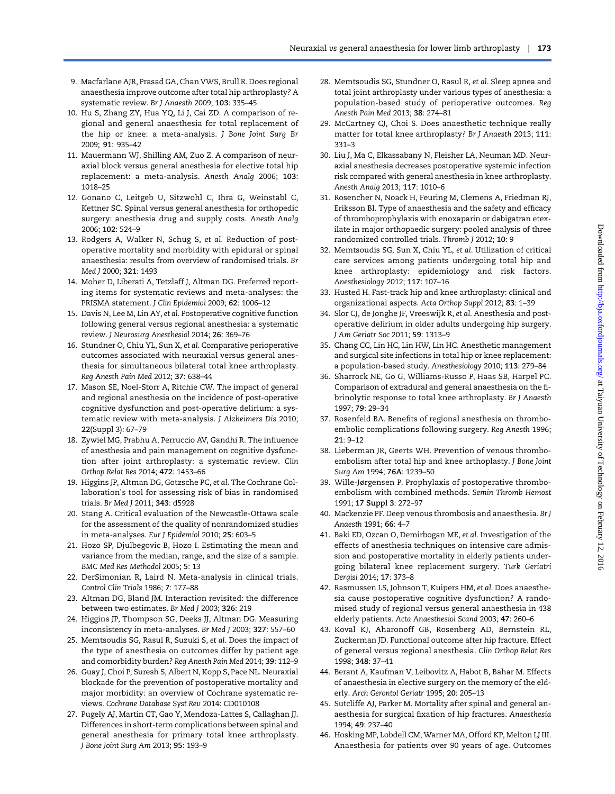- <span id="page-10-0"></span>9. Macfarlane AJR, Prasad GA, Chan VWS, Brull R. Does regional anaesthesia improve outcome after total hip arthroplasty? A systematic review. Br J Anaesth 2009; 103: 335–45
- 10. Hu S, Zhang ZY, Hua YQ, Li J, Cai ZD. A comparison of regional and general anaesthesia for total replacement of the hip or knee: a meta-analysis. J Bone Joint Surg Br 2009; 91: 935–42
- 11. Mauermann WJ, Shilling AM, Zuo Z. A comparison of neuraxial block versus general anesthesia for elective total hip replacement: a meta-analysis. Anesth Analg 2006; 103: 1018–25
- 12. Gonano C, Leitgeb U, Sitzwohl C, Ihra G, Weinstabl C, Kettner SC. Spinal versus general anesthesia for orthopedic surgery: anesthesia drug and supply costs. Anesth Analg 2006; 102: 524–9
- 13. Rodgers A, Walker N, Schug S, et al. Reduction of postoperative mortality and morbidity with epidural or spinal anaesthesia: results from overview of randomised trials. Br Med J 2000; 321: 1493
- 14. Moher D, Liberati A, Tetzlaff J, Altman DG. Preferred reporting items for systematic reviews and meta-analyses: the PRISMA statement. J Clin Epidemiol 2009; 62: 1006–12
- 15. Davis N, Lee M, Lin AY, et al. Postoperative cognitive function following general versus regional anesthesia: a systematic review. J Neurosurg Anesthesiol 2014; 26: 369–76
- 16. Stundner O, Chiu YL, Sun X, et al. Comparative perioperative outcomes associated with neuraxial versus general anesthesia for simultaneous bilateral total knee arthroplasty. Reg Anesth Pain Med 2012; 37: 638–44
- 17. Mason SE, Noel-Storr A, Ritchie CW. The impact of general and regional anesthesia on the incidence of post-operative cognitive dysfunction and post-operative delirium: a systematic review with meta-analysis. J Alzheimers Dis 2010; 22(Suppl 3): 67–79
- 18. Zywiel MG, Prabhu A, Perruccio AV, Gandhi R. The influence of anesthesia and pain management on cognitive dysfunction after joint arthroplasty: a systematic review. Clin Orthop Relat Res 2014; 472: 1453–66
- 19. Higgins JP, Altman DG, Gotzsche PC, et al. The Cochrane Collaboration's tool for assessing risk of bias in randomised trials. Br Med J 2011; 343: d5928
- 20. Stang A. Critical evaluation of the Newcastle-Ottawa scale for the assessment of the quality of nonrandomized studies in meta-analyses. Eur J Epidemiol 2010; 25: 603–5
- 21. Hozo SP, Djulbegovic B, Hozo I. Estimating the mean and variance from the median, range, and the size of a sample. BMC Med Res Methodol 2005; 5: 13
- 22. DerSimonian R, Laird N. Meta-analysis in clinical trials. Control Clin Trials 1986; 7: 177–88
- 23. Altman DG, Bland JM. Interaction revisited: the difference between two estimates. Br Med J 2003; 326: 219
- 24. Higgins JP, Thompson SG, Deeks JJ, Altman DG. Measuring inconsistency in meta-analyses. Br Med J 2003; 327: 557–60
- 25. Memtsoudis SG, Rasul R, Suzuki S, et al. Does the impact of the type of anesthesia on outcomes differ by patient age and comorbidity burden? Reg Anesth Pain Med 2014; 39: 112–9
- 26. Guay J, Choi P, Suresh S, Albert N, Kopp S, Pace NL. Neuraxial blockade for the prevention of postoperative mortality and major morbidity: an overview of Cochrane systematic reviews. Cochrane Database Syst Rev 2014: CD010108
- 27. Pugely AJ, Martin CT, Gao Y, Mendoza-Lattes S, Callaghan JJ. Differences in short-term complications between spinal and general anesthesia for primary total knee arthroplasty. J Bone Joint Surg Am 2013; 95: 193–9
- 28. Memtsoudis SG, Stundner O, Rasul R, et al. Sleep apnea and total joint arthroplasty under various types of anesthesia: a population-based study of perioperative outcomes. Reg Anesth Pain Med 2013; 38: 274–81
- 29. McCartney CJ, Choi S. Does anaesthetic technique really matter for total knee arthroplasty? Br J Anaesth 2013; 111: 331–3
- 30. Liu J, Ma C, Elkassabany N, Fleisher LA, Neuman MD. Neuraxial anesthesia decreases postoperative systemic infection risk compared with general anesthesia in knee arthroplasty. Anesth Analg 2013; 117: 1010–6
- 31. Rosencher N, Noack H, Feuring M, Clemens A, Friedman RJ, Eriksson BI. Type of anaesthesia and the safety and efficacy of thromboprophylaxis with enoxaparin or dabigatran etexilate in major orthopaedic surgery: pooled analysis of three randomized controlled trials. Thromb J 2012; 10: 9
- 32. Memtsoudis SG, Sun X, Chiu YL, et al. Utilization of critical care services among patients undergoing total hip and knee arthroplasty: epidemiology and risk factors. Anesthesiology 2012; 117: 107–16
- 33. Husted H. Fast-track hip and knee arthroplasty: clinical and organizational aspects. Acta Orthop Suppl 2012; 83: 1–39
- 34. Slor CJ, de Jonghe JF, Vreeswijk R, et al. Anesthesia and postoperative delirium in older adults undergoing hip surgery. J Am Geriatr Soc 2011; 59: 1313–9
- 35. Chang CC, Lin HC, Lin HW, Lin HC. Anesthetic management and surgical site infections in total hip or knee replacement: a population-based study. Anesthesiology 2010; 113: 279–84
- 36. Sharrock NE, Go G, Williams-Russo P, Haas SB, Harpel PC. Comparison of extradural and general anaesthesia on the fibrinolytic response to total knee arthroplasty. Br J Anaesth 1997; 79: 29–34
- 37. Rosenfeld BA. Benefits of regional anesthesia on thromboembolic complications following surgery. Reg Anesth 1996; 21: 9–12
- 38. Lieberman JR, Geerts WH. Prevention of venous thromboembolism after total hip and knee arthoplasty. J Bone Joint Surg Am 1994; 76A: 1239–50
- 39. Wille-Jørgensen P. Prophylaxis of postoperative thromboembolism with combined methods. Semin Thromb Hemost 1991; 17 Suppl 3: 272–97
- 40. Mackenzie PF. Deep venous thrombosis and anaesthesia. Br J Anaesth 1991; 66: 4–7
- 41. Baki ED, Ozcan O, Demirbogan ME, et al. Investigation of the effects of anesthesia techniques on intensive care admission and postoperative mortality in elderly patients undergoing bilateral knee replacement surgery. Turk Geriatri Dergisi 2014; 17: 373–8
- 42. Rasmussen LS, Johnson T, Kuipers HM, et al. Does anaesthesia cause postoperative cognitive dysfunction? A randomised study of regional versus general anaesthesia in 438 elderly patients. Acta Anaesthesiol Scand 2003; 47: 260–6
- 43. Koval KJ, Aharonoff GB, Rosenberg AD, Bernstein RL, Zuckerman JD. Functional outcome after hip fracture. Effect of general versus regional anesthesia. Clin Orthop Relat Res 1998; 348: 37–41
- 44. Berant A, Kaufman V, Leibovitz A, Habot B, Bahar M. Effects of anaesthesia in elective surgery on the memory of the elderly. Arch Gerontol Geriatr 1995; 20: 205–13
- 45. Sutcliffe AJ, Parker M. Mortality after spinal and general anaesthesia for surgical fixation of hip fractures. Anaesthesia 1994; 49: 237–40
- 46. Hosking MP, Lobdell CM, Warner MA, Offord KP, Melton LJ III. Anaesthesia for patients over 90 years of age. Outcomes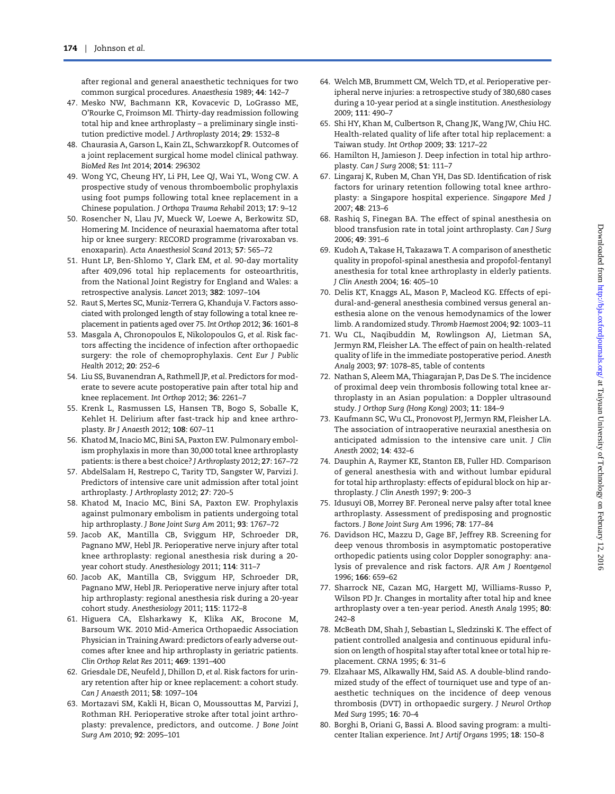<span id="page-11-0"></span>after regional and general anaesthetic techniques for two common surgical procedures. Anaesthesia 1989; 44: 142–7

- 47. Mesko NW, Bachmann KR, Kovacevic D, LoGrasso ME, O'Rourke C, Froimson MI. Thirty-day readmission following total hip and knee arthroplasty – a preliminary single institution predictive model. J Arthroplasty 2014; 29: 1532–8
- 48. Chaurasia A, Garson L, Kain ZL, Schwarzkopf R. Outcomes of a joint replacement surgical home model clinical pathway. BioMed Res Int 2014; 2014: 296302
- 49. Wong YC, Cheung HY, Li PH, Lee QJ, Wai YL, Wong CW. A prospective study of venous thromboembolic prophylaxis using foot pumps following total knee replacement in a Chinese population. J Orthopa Trauma Rehabil 2013; 17: 9–12
- 50. Rosencher N, Llau JV, Mueck W, Loewe A, Berkowitz SD, Homering M. Incidence of neuraxial haematoma after total hip or knee surgery: RECORD programme (rivaroxaban vs. enoxaparin). Acta Anaesthesiol Scand 2013; 57: 565–72
- 51. Hunt LP, Ben-Shlomo Y, Clark EM, et al. 90-day mortality after 409,096 total hip replacements for osteoarthritis, from the National Joint Registry for England and Wales: a retrospective analysis. Lancet 2013; 382: 1097–104
- 52. Raut S, Mertes SC, Muniz-Terrera G, Khanduja V. Factors associated with prolonged length of stay following a total knee replacement in patients aged over 75. Int Orthop 2012; 36: 1601–8
- 53. Masgala A, Chronopoulos E, Nikolopoulos G, et al. Risk factors affecting the incidence of infection after orthopaedic surgery: the role of chemoprophylaxis. Cent Eur J Public Health 2012; 20: 252–6
- 54. Liu SS, Buvanendran A, Rathmell JP, et al. Predictors for moderate to severe acute postoperative pain after total hip and knee replacement. Int Orthop 2012; 36: 2261–7
- 55. Krenk L, Rasmussen LS, Hansen TB, Bogo S, Soballe K, Kehlet H. Delirium after fast-track hip and knee arthroplasty. Br J Anaesth 2012; 108: 607–11
- 56. Khatod M, Inacio MC, Bini SA, Paxton EW. Pulmonary embolism prophylaxis in more than 30,000 total knee arthroplasty patients: is there a best choice? J Arthroplasty 2012; 27: 167–72
- 57. AbdelSalam H, Restrepo C, Tarity TD, Sangster W, Parvizi J. Predictors of intensive care unit admission after total joint arthroplasty. J Arthroplasty 2012; 27: 720–5
- 58. Khatod M, Inacio MC, Bini SA, Paxton EW. Prophylaxis against pulmonary embolism in patients undergoing total hip arthroplasty. J Bone Joint Surg Am 2011; 93: 1767–72
- 59. Jacob AK, Mantilla CB, Sviggum HP, Schroeder DR, Pagnano MW, Hebl JR. Perioperative nerve injury after total knee arthroplasty: regional anesthesia risk during a 20 year cohort study. Anesthesiology 2011; 114: 311–7
- 60. Jacob AK, Mantilla CB, Sviggum HP, Schroeder DR, Pagnano MW, Hebl JR. Perioperative nerve injury after total hip arthroplasty: regional anesthesia risk during a 20-year cohort study. Anesthesiology 2011; 115: 1172–8
- 61. Higuera CA, Elsharkawy K, Klika AK, Brocone M, Barsoum WK. 2010 Mid-America Orthopaedic Association Physician in Training Award: predictors of early adverse outcomes after knee and hip arthroplasty in geriatric patients. Clin Orthop Relat Res 2011; 469: 1391–400
- 62. Griesdale DE, Neufeld J, Dhillon D, et al. Risk factors for urinary retention after hip or knee replacement: a cohort study. Can J Anaesth 2011; 58: 1097–104
- 63. Mortazavi SM, Kakli H, Bican O, Moussouttas M, Parvizi J, Rothman RH. Perioperative stroke after total joint arthroplasty: prevalence, predictors, and outcome. J Bone Joint Surg Am 2010; 92: 2095–101
- 64. Welch MB, Brummett CM, Welch TD, et al. Perioperative peripheral nerve injuries: a retrospective study of 380,680 cases during a 10-year period at a single institution. Anesthesiology 2009; 111: 490–7
- 65. Shi HY, Khan M, Culbertson R, Chang JK, Wang JW, Chiu HC. Health-related quality of life after total hip replacement: a Taiwan study. Int Orthop 2009; 33: 1217–22
- 66. Hamilton H, Jamieson J. Deep infection in total hip arthroplasty. Can J Surg 2008; 51: 111–7
- 67. Lingaraj K, Ruben M, Chan YH, Das SD. Identification of risk factors for urinary retention following total knee arthroplasty: a Singapore hospital experience. Singapore Med J 2007; 48: 213–6
- 68. Rashiq S, Finegan BA. The effect of spinal anesthesia on blood transfusion rate in total joint arthroplasty. Can J Surg 2006; 49: 391–6
- 69. Kudoh A, Takase H, Takazawa T. A comparison of anesthetic quality in propofol-spinal anesthesia and propofol-fentanyl anesthesia for total knee arthroplasty in elderly patients. J Clin Anesth 2004; 16: 405–10
- 70. Delis KT, Knaggs AL, Mason P, Macleod KG. Effects of epidural-and-general anesthesia combined versus general anesthesia alone on the venous hemodynamics of the lower limb. A randomized study. Thromb Haemost 2004; 92: 1003–11
- 71. Wu CL, Naqibuddin M, Rowlingson AJ, Lietman SA, Jermyn RM, Fleisher LA. The effect of pain on health-related quality of life in the immediate postoperative period. Anesth Analg 2003; 97: 1078–85, table of contents
- 72. Nathan S, Aleem MA, Thiagarajan P, Das De S. The incidence of proximal deep vein thrombosis following total knee arthroplasty in an Asian population: a Doppler ultrasound study. J Orthop Surg (Hong Kong) 2003; 11: 184–9
- 73. Kaufmann SC, Wu CL, Pronovost PJ, Jermyn RM, Fleisher LA. The association of intraoperative neuraxial anesthesia on anticipated admission to the intensive care unit. J Clin Anesth 2002; 14: 432–6
- 74. Dauphin A, Raymer KE, Stanton EB, Fuller HD. Comparison of general anesthesia with and without lumbar epidural for total hip arthroplasty: effects of epidural block on hip arthroplasty. J Clin Anesth 1997; 9: 200–3
- 75. Idusuyi OB, Morrey BF. Peroneal nerve palsy after total knee arthroplasty. Assessment of predisposing and prognostic factors. J Bone Joint Surg Am 1996; 78: 177–84
- 76. Davidson HC, Mazzu D, Gage BF, Jeffrey RB. Screening for deep venous thrombosis in asymptomatic postoperative orthopedic patients using color Doppler sonography: analysis of prevalence and risk factors. AJR Am J Roentgenol 1996; 166: 659–62
- 77. Sharrock NE, Cazan MG, Hargett MJ, Williams-Russo P, Wilson PD Jr. Changes in mortality after total hip and knee arthroplasty over a ten-year period. Anesth Analg 1995; 80: 242–8
- 78. McBeath DM, Shah J, Sebastian L, Sledzinski K. The effect of patient controlled analgesia and continuous epidural infusion on length of hospital stay after total knee or total hip replacement. CRNA 1995; 6: 31–6
- 79. Elzahaar MS, Alkawally HM, Said AS. A double-blind randomized study of the effect of tourniquet use and type of anaesthetic techniques on the incidence of deep venous thrombosis (DVT) in orthopaedic surgery. J Neurol Orthop Med Surg 1995; 16: 70–4
- 80. Borghi B, Oriani G, Bassi A. Blood saving program: a multicenter Italian experience. Int J Artif Organs 1995; 18: 150–8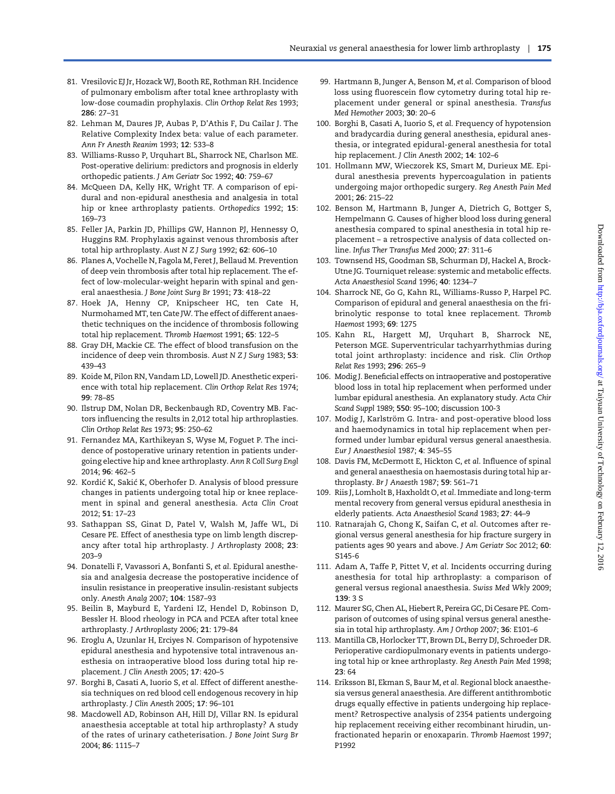- <span id="page-12-0"></span>81. Vresilovic EJ Jr, Hozack WJ, Booth RE, Rothman RH. Incidence of pulmonary embolism after total knee arthroplasty with low-dose coumadin prophylaxis. Clin Orthop Relat Res 1993; 286: 27–31
- 82. Lehman M, Daures JP, Aubas P, D'Athis F, Du Cailar J. The Relative Complexity Index beta: value of each parameter. Ann Fr Anesth Reanim 1993; 12: 533–8
- 83. Williams-Russo P, Urquhart BL, Sharrock NE, Charlson ME. Post-operative delirium: predictors and prognosis in elderly orthopedic patients. J Am Geriatr Soc 1992; 40: 759–67
- 84. McQueen DA, Kelly HK, Wright TF. A comparison of epidural and non-epidural anesthesia and analgesia in total hip or knee arthroplasty patients. Orthopedics 1992; 15: 169–73
- 85. Feller JA, Parkin JD, Phillips GW, Hannon PJ, Hennessy O, Huggins RM. Prophylaxis against venous thrombosis after total hip arthroplasty. Aust N Z J Surg 1992; 62: 606–10
- 86. Planes A, Vochelle N, Fagola M, Feret J, Bellaud M. Prevention of deep vein thrombosis after total hip replacement. The effect of low-molecular-weight heparin with spinal and general anaesthesia. J Bone Joint Surg Br 1991; 73: 418–22
- 87. Hoek JA, Henny CP, Knipscheer HC, ten Cate H, Nurmohamed MT, ten Cate JW. The effect of different anaesthetic techniques on the incidence of thrombosis following total hip replacement. Thromb Haemost 1991; 65: 122–5
- 88. Gray DH, Mackie CE. The effect of blood transfusion on the incidence of deep vein thrombosis. Aust N Z J Surg 1983; 53: 439–43
- 89. Koide M, Pilon RN, Vandam LD, Lowell JD. Anesthetic experience with total hip replacement. Clin Orthop Relat Res 1974; 99: 78–85
- 90. Ilstrup DM, Nolan DR, Beckenbaugh RD, Coventry MB. Factors influencing the results in 2,012 total hip arthroplasties. Clin Orthop Relat Res 1973; 95: 250–62
- 91. Fernandez MA, Karthikeyan S, Wyse M, Foguet P. The incidence of postoperative urinary retention in patients undergoing elective hip and knee arthroplasty. Ann R Coll Surg Engl 2014; 96: 462–5
- 92. Kordić K, Sakić K, Oberhofer D. Analysis of blood pressure changes in patients undergoing total hip or knee replacement in spinal and general anesthesia. Acta Clin Croat 2012; 51: 17–23
- 93. Sathappan SS, Ginat D, Patel V, Walsh M, Jaffe WL, Di Cesare PE. Effect of anesthesia type on limb length discrepancy after total hip arthroplasty. J Arthroplasty 2008; 23: 203–9
- 94. Donatelli F, Vavassori A, Bonfanti S, et al. Epidural anesthesia and analgesia decrease the postoperative incidence of insulin resistance in preoperative insulin-resistant subjects only. Anesth Analg 2007; 104: 1587–93
- 95. Beilin B, Mayburd E, Yardeni IZ, Hendel D, Robinson D, Bessler H. Blood rheology in PCA and PCEA after total knee arthroplasty. J Arthroplasty 2006; 21: 179–84
- 96. Eroglu A, Uzunlar H, Erciyes N. Comparison of hypotensive epidural anesthesia and hypotensive total intravenous anesthesia on intraoperative blood loss during total hip replacement. J Clin Anesth 2005; 17: 420–5
- 97. Borghi B, Casati A, Iuorio S, et al. Effect of different anesthesia techniques on red blood cell endogenous recovery in hip arthroplasty. J Clin Anesth 2005; 17: 96–101
- 98. Macdowell AD, Robinson AH, Hill DJ, Villar RN. Is epidural anaesthesia acceptable at total hip arthroplasty? A study of the rates of urinary catheterisation. J Bone Joint Surg Br 2004; 86: 1115–7
- 99. Hartmann B, Junger A, Benson M, et al. Comparison of blood loss using fluorescein flow cytometry during total hip replacement under general or spinal anesthesia. Transfus Med Hemother 2003; 30: 20–6
- 100. Borghi B, Casati A, Iuorio S, et al. Frequency of hypotension and bradycardia during general anesthesia, epidural anesthesia, or integrated epidural-general anesthesia for total hip replacement. J Clin Anesth 2002; 14: 102-6
- 101. Hollmann MW, Wieczorek KS, Smart M, Durieux ME. Epidural anesthesia prevents hypercoagulation in patients undergoing major orthopedic surgery. Reg Anesth Pain Med 2001; 26: 215–22
- 102. Benson M, Hartmann B, Junger A, Dietrich G, Bottger S, Hempelmann G. Causes of higher blood loss during general anesthesia compared to spinal anesthesia in total hip replacement – a retrospective analysis of data collected online. Infus Ther Transfus Med 2000; 27: 311–6
- 103. Townsend HS, Goodman SB, Schurman DJ, Hackel A, Brock-Utne JG. Tourniquet release: systemic and metabolic effects. Acta Anaesthesiol Scand 1996; 40: 1234–7
- 104. Sharrock NE, Go G, Kahn RL, Williams-Russo P, Harpel PC. Comparison of epidural and general anaesthesia on the fribrinolytic response to total knee replacement. Thromb Haemost 1993; 69: 1275
- 105. Kahn RL, Hargett MJ, Urquhart B, Sharrock NE, Peterson MGE. Superventricular tachyarrhythmias during total joint arthroplasty: incidence and risk. Clin Orthop Relat Res 1993; 296: 265–9
- 106. Modig J. Beneficial effects on intraoperative and postoperative blood loss in total hip replacement when performed under lumbar epidural anesthesia. An explanatory study. Acta Chir Scand Suppl 1989; 550: 95–100; discussion 100-3
- 107. Modig J, Karlström G. Intra- and post-operative blood loss and haemodynamics in total hip replacement when performed under lumbar epidural versus general anaesthesia. Eur J Anaesthesiol 1987; 4: 345–55
- 108. Davis FM, McDermott E, Hickton C, et al. Influence of spinal and general anaesthesia on haemostasis during total hip arthroplasty. Br J Anaesth 1987; 59: 561–71
- 109. Riis J, Lomholt B, Haxholdt O, et al. Immediate and long-term mental recovery from general versus epidural anesthesia in elderly patients. Acta Anaesthesiol Scand 1983; 27: 44–9
- 110. Ratnarajah G, Chong K, Saifan C, et al. Outcomes after regional versus general anesthesia for hip fracture surgery in patients ages 90 years and above. J Am Geriatr Soc 2012; 60: S145-6
- 111. Adam A, Taffe P, Pittet V, et al. Incidents occurring during anesthesia for total hip arthroplasty: a comparison of general versus regional anaesthesia. Swiss Med Wkly 2009; 139:3S
- 112. Maurer SG, Chen AL, Hiebert R, Pereira GC, Di Cesare PE. Comparison of outcomes of using spinal versus general anesthesia in total hip arthroplasty. Am J Orthop 2007; 36: E101–6
- 113. Mantilla CB, Horlocker TT, Brown DL, Berry DJ, Schroeder DR. Perioperative cardiopulmonary events in patients undergoing total hip or knee arthroplasty. Reg Anesth Pain Med 1998;  $23.64$
- 114. Eriksson BI, Ekman S, Baur M, et al. Regional block anaesthesia versus general anaesthesia. Are different antithrombotic drugs equally effective in patients undergoing hip replacement? Retrospective analysis of 2354 patients undergoing hip replacement receiving either recombinant hirudin, unfractionated heparin or enoxaparin. Thromb Haemost 1997; P1992